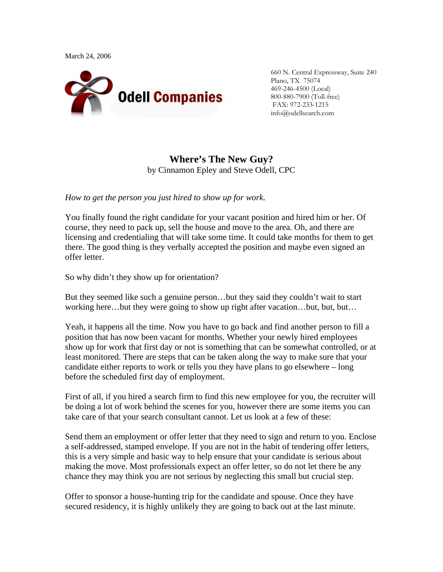

660 N. Central Expressway, Suite 240 Plano, TX 75074 469-246-4500 (Local) 800-880-7900 (Toll-free) FAX: 972-233-1215 info@odellsearch.com

## **Where's The New Guy?** by Cinnamon Epley and Steve Odell, CPC

*How to get the person you just hired to show up for work.* 

You finally found the right candidate for your vacant position and hired him or her. Of course, they need to pack up, sell the house and move to the area. Oh, and there are licensing and credentialing that will take some time. It could take months for them to get there. The good thing is they verbally accepted the position and maybe even signed an offer letter.

So why didn't they show up for orientation?

But they seemed like such a genuine person…but they said they couldn't wait to start working here…but they were going to show up right after vacation…but, but, but…

Yeah, it happens all the time. Now you have to go back and find another person to fill a position that has now been vacant for months. Whether your newly hired employees show up for work that first day or not is something that can be somewhat controlled, or at least monitored. There are steps that can be taken along the way to make sure that your candidate either reports to work or tells you they have plans to go elsewhere – long before the scheduled first day of employment.

First of all, if you hired a search firm to find this new employee for you, the recruiter will be doing a lot of work behind the scenes for you, however there are some items you can take care of that your search consultant cannot. Let us look at a few of these:

Send them an employment or offer letter that they need to sign and return to you. Enclose a self-addressed, stamped envelope. If you are not in the habit of tendering offer letters, this is a very simple and basic way to help ensure that your candidate is serious about making the move. Most professionals expect an offer letter, so do not let there be any chance they may think you are not serious by neglecting this small but crucial step.

Offer to sponsor a house-hunting trip for the candidate and spouse. Once they have secured residency, it is highly unlikely they are going to back out at the last minute.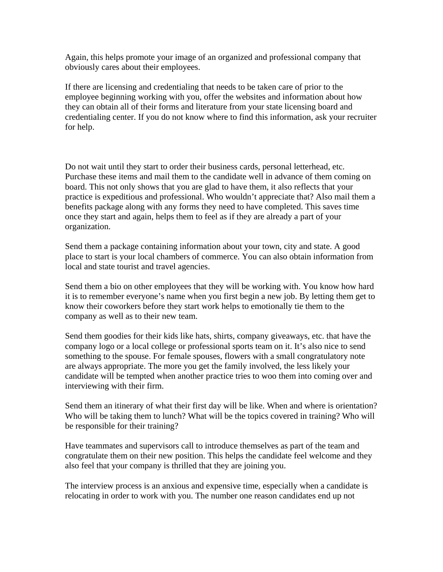Again, this helps promote your image of an organized and professional company that obviously cares about their employees.

If there are licensing and credentialing that needs to be taken care of prior to the employee beginning working with you, offer the websites and information about how they can obtain all of their forms and literature from your state licensing board and credentialing center. If you do not know where to find this information, ask your recruiter for help.

Do not wait until they start to order their business cards, personal letterhead, etc. Purchase these items and mail them to the candidate well in advance of them coming on board. This not only shows that you are glad to have them, it also reflects that your practice is expeditious and professional. Who wouldn't appreciate that? Also mail them a benefits package along with any forms they need to have completed. This saves time once they start and again, helps them to feel as if they are already a part of your organization.

Send them a package containing information about your town, city and state. A good place to start is your local chambers of commerce. You can also obtain information from local and state tourist and travel agencies.

Send them a bio on other employees that they will be working with. You know how hard it is to remember everyone's name when you first begin a new job. By letting them get to know their coworkers before they start work helps to emotionally tie them to the company as well as to their new team.

Send them goodies for their kids like hats, shirts, company giveaways, etc. that have the company logo or a local college or professional sports team on it. It's also nice to send something to the spouse. For female spouses, flowers with a small congratulatory note are always appropriate. The more you get the family involved, the less likely your candidate will be tempted when another practice tries to woo them into coming over and interviewing with their firm.

Send them an itinerary of what their first day will be like. When and where is orientation? Who will be taking them to lunch? What will be the topics covered in training? Who will be responsible for their training?

Have teammates and supervisors call to introduce themselves as part of the team and congratulate them on their new position. This helps the candidate feel welcome and they also feel that your company is thrilled that they are joining you.

The interview process is an anxious and expensive time, especially when a candidate is relocating in order to work with you. The number one reason candidates end up not